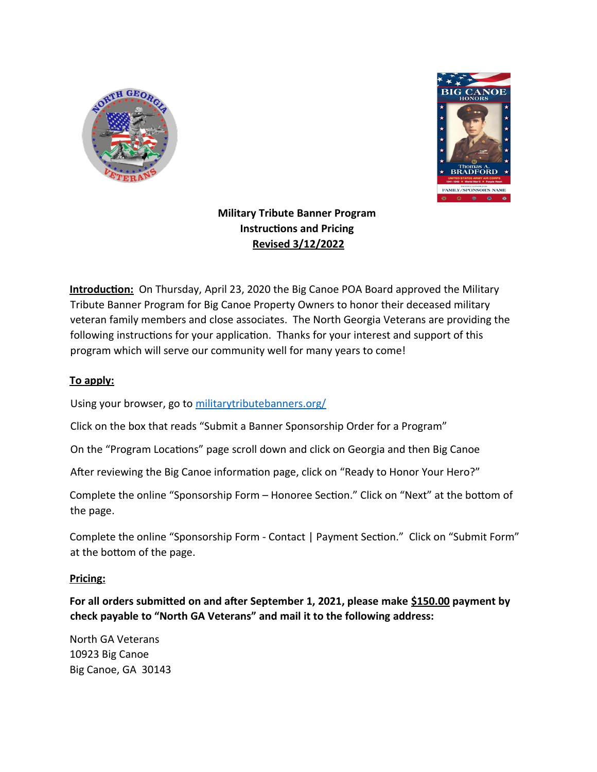



# **Military Tribute Banner Program Instructions and Pricing Revised 3/12/2022**

**Introduction:** On Thursday, April 23, 2020 the Big Canoe POA Board approved the Military Tribute Banner Program for Big Canoe Property Owners to honor their deceased military veteran family members and close associates. The North Georgia Veterans are providing the following instructions for your application. Thanks for your interest and support of this program which will serve our community well for many years to come!

## **To apply:**

Using your browser, go to militarytributebanners.org/

Click on the box that reads "Submit a Banner Sponsorship Order for a Program"

On the "Program Locations" page scroll down and click on Georgia and then Big Canoe

After reviewing the Big Canoe information page, click on "Ready to Honor Your Hero?"

Complete the online "Sponsorship Form – Honoree Section." Click on "Next" at the bottom of the page.

Complete the online "Sponsorship Form - Contact | Payment Section." Click on "Submit Form" at the bottom of the page.

### **Pricing:**

**For all orders submitted on and after September 1, 2021, please make \$150.00 payment by check payable to "North GA Veterans" and mail it to the following address:**

North GA Veterans 10923 Big Canoe Big Canoe, GA 30143